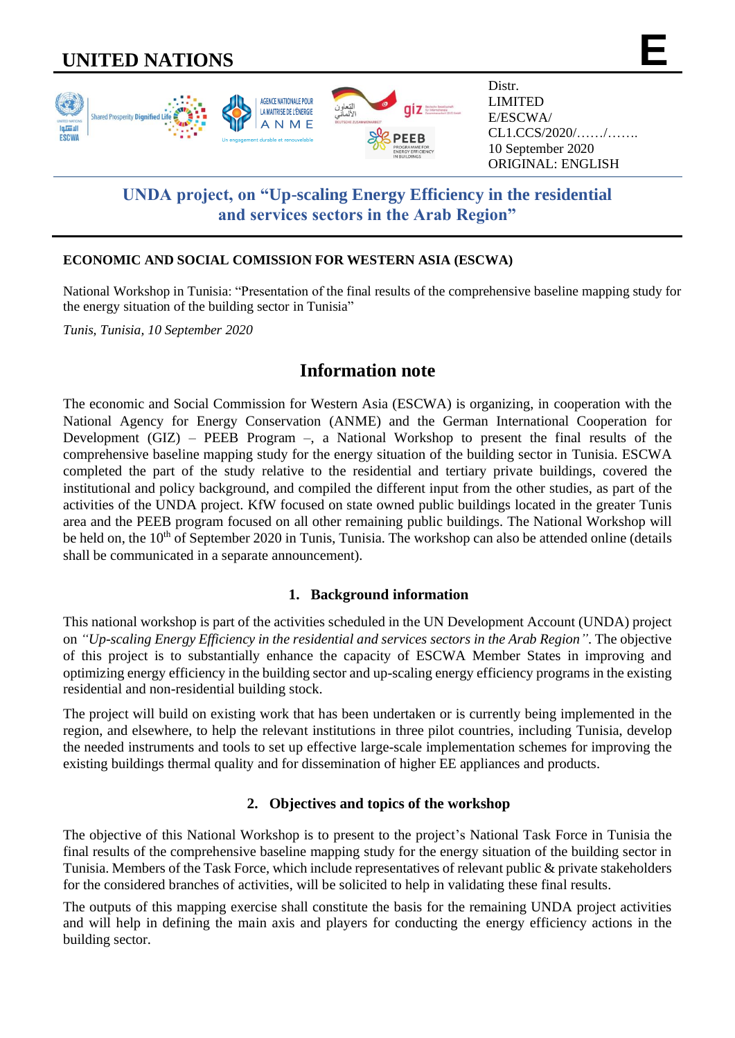# **UNITED NATIONS**



# **UNDA project, on "Up-scaling Energy Efficiency in the residential and services sectors in the Arab Region"**

## **ECONOMIC AND SOCIAL COMISSION FOR WESTERN ASIA (ESCWA)**

National Workshop in Tunisia: "Presentation of the final results of the comprehensive baseline mapping study for the energy situation of the building sector in Tunisia"

*Tunis, Tunisia, 10 September 2020*

# **Information note**

The economic and Social Commission for Western Asia (ESCWA) is organizing, in cooperation with the National Agency for Energy Conservation (ANME) and the German International Cooperation for Development (GIZ) – PEEB Program –, a National Workshop to present the final results of the comprehensive baseline mapping study for the energy situation of the building sector in Tunisia. ESCWA completed the part of the study relative to the residential and tertiary private buildings, covered the institutional and policy background, and compiled the different input from the other studies, as part of the activities of the UNDA project. KfW focused on state owned public buildings located in the greater Tunis area and the PEEB program focused on all other remaining public buildings. The National Workshop will be held on, the 10<sup>th</sup> of September 2020 in Tunis, Tunisia. The workshop can also be attended online (details shall be communicated in a separate announcement).

# **1. Background information**

This national workshop is part of the activities scheduled in the UN Development Account (UNDA) project on *"Up-scaling Energy Efficiency in the residential and services sectors in the Arab Region"*. The objective of this project is to substantially enhance the capacity of ESCWA Member States in improving and optimizing energy efficiency in the building sector and up-scaling energy efficiency programs in the existing residential and non-residential building stock.

The project will build on existing work that has been undertaken or is currently being implemented in the region, and elsewhere, to help the relevant institutions in three pilot countries, including Tunisia, develop the needed instruments and tools to set up effective large-scale implementation schemes for improving the existing buildings thermal quality and for dissemination of higher EE appliances and products.

# **2. Objectives and topics of the workshop**

The objective of this National Workshop is to present to the project's National Task Force in Tunisia the final results of the comprehensive baseline mapping study for the energy situation of the building sector in Tunisia. Members of the Task Force, which include representatives of relevant public & private stakeholders for the considered branches of activities, will be solicited to help in validating these final results.

The outputs of this mapping exercise shall constitute the basis for the remaining UNDA project activities and will help in defining the main axis and players for conducting the energy efficiency actions in the building sector.